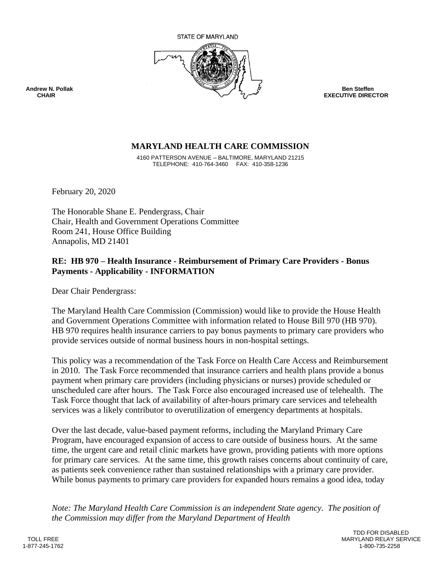

**EXECUTIVE DIRECTOR** 

## **MARYLAND HEALTH CARE COMMISSION**

4160 PATTERSON AVENUE – BALTIMORE, MARYLAND 21215 TELEPHONE: 410-764-3460 FAX: 410-358-1236

February 20, 2020

The Honorable Shane E. Pendergrass, Chair Chair, Health and Government Operations Committee Room 241, House Office Building Annapolis, MD 21401

## **RE: HB 970 – Health Insurance - Reimbursement of Primary Care Providers - Bonus Payments - Applicability - INFORMATION**

Dear Chair Pendergrass:

The Maryland Health Care Commission (Commission) would like to provide the House Health and Government Operations Committee with information related to House Bill 970 (HB 970). HB 970 requires health insurance carriers to pay bonus payments to primary care providers who provide services outside of normal business hours in non-hospital settings.

This policy was a recommendation of the Task Force on Health Care Access and Reimbursement in 2010. The Task Force recommended that insurance carriers and health plans provide a bonus payment when primary care providers (including physicians or nurses) provide scheduled or unscheduled care after hours. The Task Force also encouraged increased use of telehealth. The Task Force thought that lack of availability of after-hours primary care services and telehealth services was a likely contributor to overutilization of emergency departments at hospitals.

Over the last decade, value-based payment reforms, including the Maryland Primary Care Program, have encouraged expansion of access to care outside of business hours. At the same time, the urgent care and retail clinic markets have grown, providing patients with more options for primary care services. At the same time, this growth raises concerns about continuity of care, as patients seek convenience rather than sustained relationships with a primary care provider. While bonus payments to primary care providers for expanded hours remains a good idea, today

*Note: The Maryland Health Care Commission is an independent State agency. The position of the Commission may differ from the Maryland Department of Health*